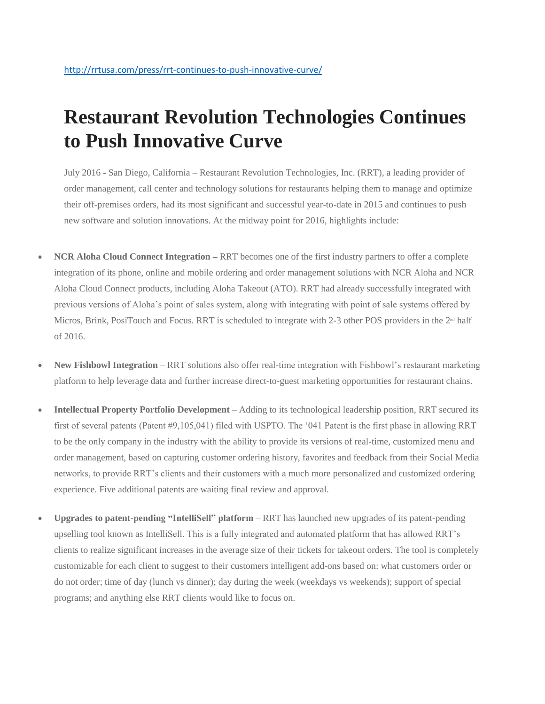## **Restaurant Revolution Technologies Continues to Push Innovative Curve**

July 2016 - San Diego, California – Restaurant Revolution Technologies, Inc. (RRT), a leading provider of order management, call center and technology solutions for restaurants helping them to manage and optimize their off-premises orders, had its most significant and successful year-to-date in 2015 and continues to push new software and solution innovations. At the midway point for 2016, highlights include:

- **NCR Aloha Cloud Connect Integration RRT** becomes one of the first industry partners to offer a complete integration of its phone, online and mobile ordering and order management solutions with NCR Aloha and NCR Aloha Cloud Connect products, including Aloha Takeout (ATO). RRT had already successfully integrated with previous versions of Aloha's point of sales system, along with integrating with point of sale systems offered by Micros, Brink, PosiTouch and Focus. RRT is scheduled to integrate with 2-3 other POS providers in the 2<sup>nd</sup> half of 2016.
- **New Fishbowl Integration** RRT solutions also offer real-time integration with Fishbowl's restaurant marketing platform to help leverage data and further increase direct-to-guest marketing opportunities for restaurant chains.
- **Intellectual Property Portfolio Development** Adding to its technological leadership position, RRT secured its first of several patents (Patent #9,105,041) filed with USPTO. The '041 Patent is the first phase in allowing RRT to be the only company in the industry with the ability to provide its versions of real-time, customized menu and order management, based on capturing customer ordering history, favorites and feedback from their Social Media networks, to provide RRT's clients and their customers with a much more personalized and customized ordering experience. Five additional patents are waiting final review and approval.
- **Upgrades to patent-pending "IntelliSell" platform** RRT has launched new upgrades of its patent-pending upselling tool known as IntelliSell. This is a fully integrated and automated platform that has allowed RRT's clients to realize significant increases in the average size of their tickets for takeout orders. The tool is completely customizable for each client to suggest to their customers intelligent add-ons based on: what customers order or do not order; time of day (lunch vs dinner); day during the week (weekdays vs weekends); support of special programs; and anything else RRT clients would like to focus on.